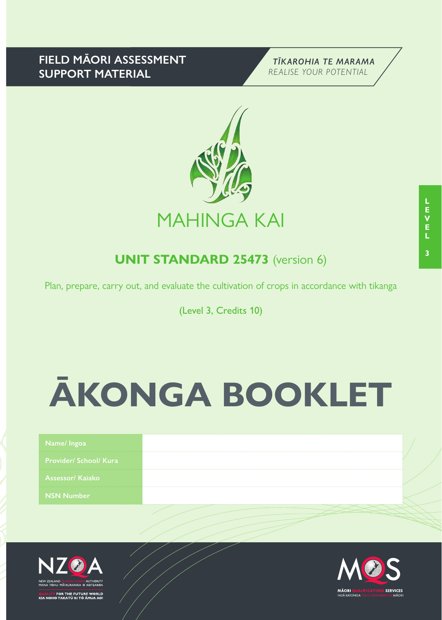# **FIELD MĀORI ASSESSMENT SUPPORT MATERIAL**





# **UNIT STANDARD 25473** (version 6)

Plan, prepare, carry out, and evaluate the cultivation of crops in accordance with tikanga

(Level 3, Credits 10)

# **ĀKONGA BOOKLET**

| <b>Provider/ School/ Kura</b><br>Assessor/Kajako<br><b>NSN Number</b> |  | Name/Ingoa |  |
|-----------------------------------------------------------------------|--|------------|--|
|                                                                       |  |            |  |
|                                                                       |  |            |  |
|                                                                       |  |            |  |



.<br>FOR THE FUTURE WORLD<br>O TAKATŪ KI TŌ ĀMUA AO!

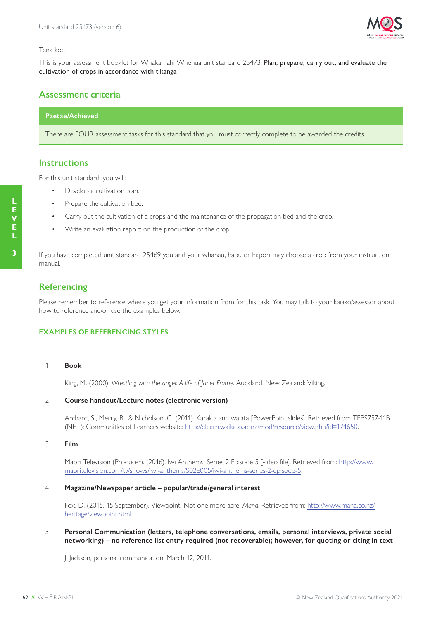

#### Tēnā koe

This is your assessment booklet for Whakamahi Whenua unit standard 25473: Plan, prepare, carry out, and evaluate the cultivation of crops in accordance with tikanga

## **Assessment criteria**

#### **Paetae/Achieved**

There are FOUR assessment tasks for this standard that you must correctly complete to be awarded the credits.

#### **Instructions**

For this unit standard, you will:

- Develop a cultivation plan.
- Prepare the cultivation bed.
- Carry out the cultivation of a crops and the maintenance of the propagation bed and the crop.
- Write an evaluation report on the production of the crop.

If you have completed unit standard 25469 you and your whānau, hapū or hapori may choose a crop from your instruction manual.

# **Referencing**

Please remember to reference where you get your information from for this task. You may talk to your kaiako/assessor about how to reference and/or use the examples below.

#### **EXAMPLES OF REFERENCING STYLES**

#### 1 **Book**

King, M. (2000). *Wrestling with the angel: A life of Janet Frame*. Auckland, New Zealand: Viking.

#### 2 **Course handout/Lecture notes (electronic version)**

Archard, S., Merry, R., & Nicholson, C. (2011). Karakia and waiata [PowerPoint slides]. Retrieved from TEPS757-11B (NET): Communities of Learners website: http://elearn.waikato.ac.nz/mod/resource/view.php?id=174650.

#### 3 **Film**

Māori Television (Producer). (2016). Iwi Anthems, Series 2 Episode 5 [video file]. Retrieved from: http://www. maoritelevision.com/tv/shows/iwi-anthems/S02E005/iwi-anthems-series-2-episode-5.

#### 4 **Magazine/Newspaper article – popular/trade/general interest**

Fox, D. (2015, 15 September). Viewpoint: Not one more acre. *Mana*. Retrieved from: http://www.mana.co.nz/ heritage/viewpoint.html.

#### 5 **Personal Communication (letters, telephone conversations, emails, personal interviews, private social networking) – no reference list entry required (not recoverable); however, for quoting or citing in text**

J. Jackson, personal communication, March 12, 2011.

**L E**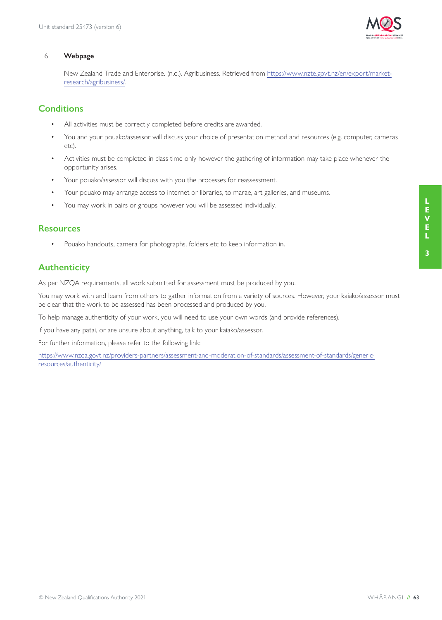

#### 6 **Webpage**

New Zealand Trade and Enterprise. (n.d.). Agribusiness. Retrieved from https://www.nzte.govt.nz/en/export/marketresearch/agribusiness/.

# **Conditions**

- All activities must be correctly completed before credits are awarded.
- You and your pouako/assessor will discuss your choice of presentation method and resources (e.g. computer, cameras etc).
- Activities must be completed in class time only however the gathering of information may take place whenever the opportunity arises.
- Your pouako/assessor will discuss with you the processes for reassessment.
- Your pouako may arrange access to internet or libraries, to marae, art galleries, and museums.
- You may work in pairs or groups however you will be assessed individually.

## **Resources**

• Pouako handouts, camera for photographs, folders etc to keep information in.

# **Authenticity**

As per NZQA requirements, all work submitted for assessment must be produced by you.

You may work with and learn from others to gather information from a variety of sources. However, your kaiako/assessor must be clear that the work to be assessed has been processed and produced by you.

To help manage authenticity of your work, you will need to use your own words (and provide references).

If you have any pātai, or are unsure about anything, talk to your kaiako/assessor.

For further information, please refer to the following link:

https://www.nzqa.govt.nz/providers-partners/assessment-and-moderation-of-standards/assessment-of-standards/genericresources/authenticity/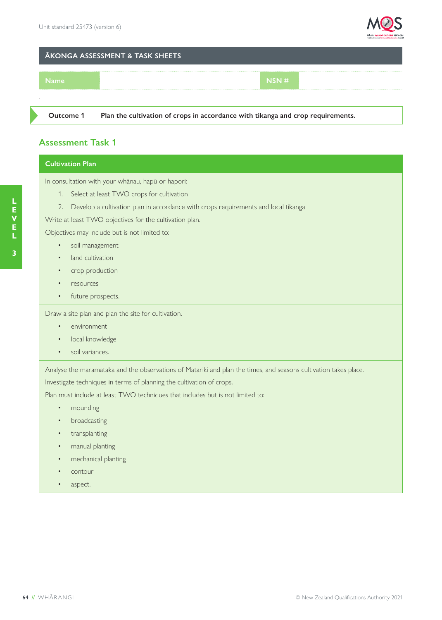

#### **ĀKONGA ASSESSMENT & TASK SHEETS**



**Outcome 1 Plan the cultivation of crops in accordance with tikanga and crop requirements.**

# **Assessment Task 1**

### **Cultivation Plan**

In consultation with your whānau, hapū or hapori:

- 1. Select at least TWO crops for cultivation
- 2. Develop a cultivation plan in accordance with crops requirements and local tikanga

Write at least TWO objectives for the cultivation plan.

Objectives may include but is not limited to:

- soil management
- land cultivation
- crop production
- resources
- future prospects.

Draw a site plan and plan the site for cultivation.

- environment
- local knowledge
- soil variances.

Analyse the maramataka and the observations of Matariki and plan the times, and seasons cultivation takes place.

Investigate techniques in terms of planning the cultivation of crops.

Plan must include at least TWO techniques that includes but is not limited to:

- mounding
- broadcasting
- transplanting
- manual planting
- mechanical planting
- contour
- aspect.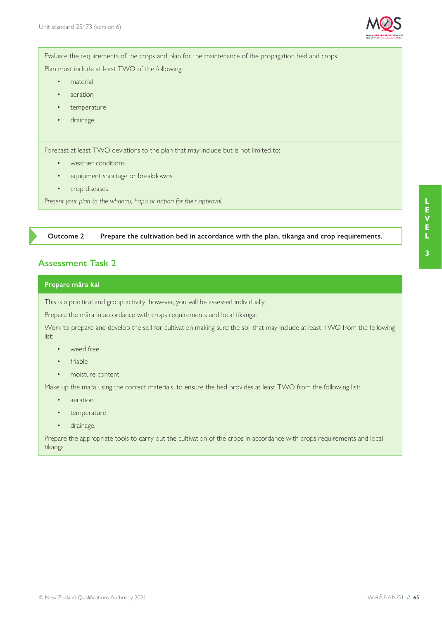

Evaluate the requirements of the crops and plan for the maintenance of the propagation bed and crops.

Plan must include at least TWO of the following:

- material
- aeration
- temperature
- drainage.

Forecast at least TWO deviations to the plan that may include but is not limited to:

- weather conditions
- equipment shortage or breakdowns
- crop diseases.

*Present your plan to the whānau, hapū or hapori for their approval.*

**Outcome 2 Prepare the cultivation bed in accordance with the plan, tikanga and crop requirements.**

# **Assessment Task 2**

#### **Prepare māra kai**

This is a practical and group activity: however, you will be assessed individually.

Prepare the māra in accordance with crops requirements and local tikanga.

Work to prepare and develop the soil for cultivation making sure the soil that may include at least TWO from the following list:

- weed free
- friable
- moisture content.

Make up the māra using the correct materials, to ensure the bed provides at least TWO from the following list:

- aeration
- temperature
- drainage.

Prepare the appropriate tools to carry out the cultivation of the crops in accordance with crops requirements and local tikanga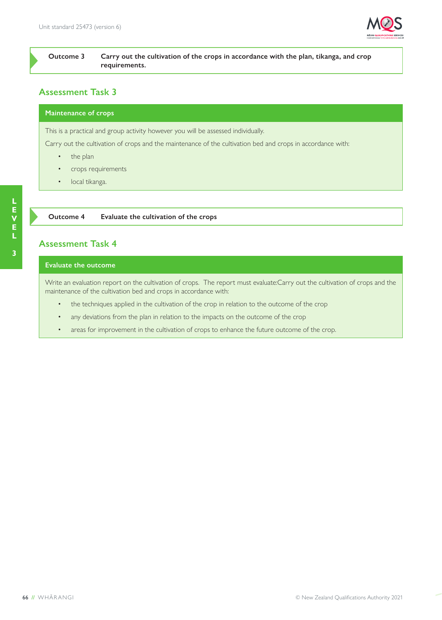

**Outcome 3 Carry out the cultivation of the crops in accordance with the plan, tikanga, and crop requirements.**

# **Assessment Task 3**

#### **Maintenance of crops**

This is a practical and group activity however you will be assessed individually.

Carry out the cultivation of crops and the maintenance of the cultivation bed and crops in accordance with:

- the plan
- crops requirements
- local tikanga.

**Outcome 4 Evaluate the cultivation of the crops**

# **Assessment Task 4**

#### **Evaluate the outcome**

Write an evaluation report on the cultivation of crops. The report must evaluate:Carry out the cultivation of crops and the maintenance of the cultivation bed and crops in accordance with:

- the techniques applied in the cultivation of the crop in relation to the outcome of the crop
- any deviations from the plan in relation to the impacts on the outcome of the crop
- areas for improvement in the cultivation of crops to enhance the future outcome of the crop.

**L**